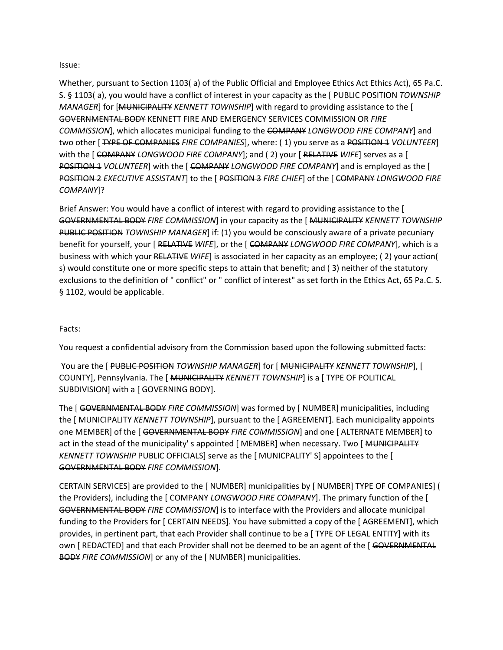#### Issue:

Whether, pursuant to Section 1103( a) of the Public Official and Employee Ethics Act Ethics Act), 65 Pa.C. S. § 1103( a), you would have a conflict of interest in your capacity as the [ PUBLIC POSITION *TOWNSHIP MANAGER*] for [MUNICIPALITY *KENNETT TOWNSHIP*] with regard to providing assistance to the [ GOVERNMENTAL BODY KENNETT FIRE AND EMERGENCY SERVICES COMMISSION OR *FIRE COMMISSION*], which allocates municipal funding to the COMPANY *LONGWOOD FIRE COMPANY*] and two other [ TYPE OF COMPANIES *FIRE COMPANIES*], where: ( 1) you serve as a POSITION 1 *VOLUNTEER*] with the [ COMPANY *LONGWOOD FIRE COMPANY*]; and ( 2) your [ RELATIVE *WIFE*] serves as a [ POSITION 1 *VOLUNTEER*] with the [ COMPANY *LONGWOOD FIRE COMPANY*] and is employed as the [ POSITION 2 *EXECUTIVE ASSISTANT*] to the [ POSITION 3 *FIRE CHIEF*] of the [ COMPANY *LONGWOOD FIRE COMPANY*]?

Brief Answer: You would have a conflict of interest with regard to providing assistance to the [ GOVERNMENTAL BODY *FIRE COMMISSION*] in your capacity as the [ MUNICIPALITY *KENNETT TOWNSHIP* PUBLIC POSITION *TOWNSHIP MANAGER*] if: (1) you would be consciously aware of a private pecuniary benefit for yourself, your [ RELATIVE *WIFE*], or the [ COMPANY *LONGWOOD FIRE COMPANY*], which is a business with which your RELATIVE *WIFE*] is associated in her capacity as an employee; ( 2) your action( s) would constitute one or more specific steps to attain that benefit; and ( 3) neither of the statutory exclusions to the definition of " conflict" or " conflict of interest" as set forth in the Ethics Act, 65 Pa.C. S. § 1102, would be applicable.

### Facts:

You request a confidential advisory from the Commission based upon the following submitted facts:

You are the [ PUBLIC POSITION *TOWNSHIP MANAGER*] for [ MUNICIPALITY *KENNETT TOWNSHIP*], [ COUNTY], Pennsylvania. The [ MUNICIPALITY *KENNETT TOWNSHIP*] is a [ TYPE OF POLITICAL SUBDIVISION] with a [ GOVERNING BODY].

The [ GOVERNMENTAL BODY *FIRE COMMISSION*] was formed by [ NUMBER] municipalities, including the [ MUNICIPALITY *KENNETT TOWNSHIP*], pursuant to the [ AGREEMENT]. Each municipality appoints one MEMBER] of the [ GOVERNMENTAL BODY *FIRE COMMISSION*] and one [ ALTERNATE MEMBER] to act in the stead of the municipality' s appointed [MEMBER] when necessary. Two [MUNICIPALITY *KENNETT TOWNSHIP* PUBLIC OFFICIALS] serve as the [ MUNICPALITY' S] appointees to the [ GOVERNMENTAL BODY *FIRE COMMISSION*].

CERTAIN SERVICES] are provided to the [ NUMBER] municipalities by [ NUMBER] TYPE OF COMPANIES] ( the Providers), including the [ COMPANY *LONGWOOD FIRE COMPANY*]. The primary function of the [ GOVERNMENTAL BODY *FIRE COMMISSION*] is to interface with the Providers and allocate municipal funding to the Providers for [ CERTAIN NEEDS]. You have submitted a copy of the [ AGREEMENT], which provides, in pertinent part, that each Provider shall continue to be a [ TYPE OF LEGAL ENTITY] with its own [ REDACTED] and that each Provider shall not be deemed to be an agent of the [ GOVERNMENTAL BODY *FIRE COMMISSION*] or any of the [ NUMBER] municipalities.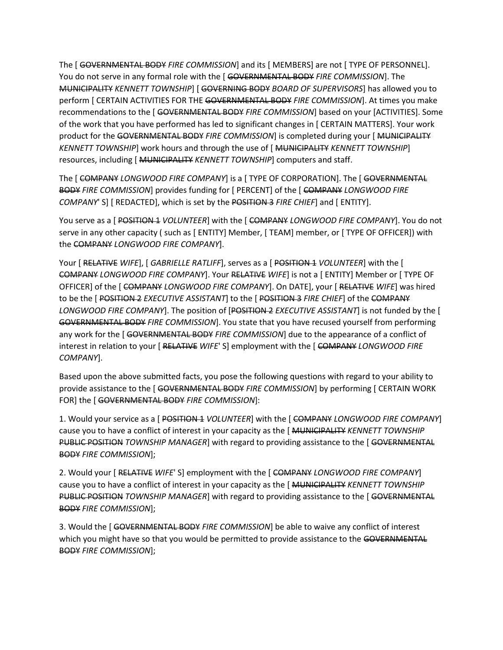The [ GOVERNMENTAL BODY *FIRE COMMISSION*] and its [ MEMBERS] are not [ TYPE OF PERSONNEL]. You do not serve in any formal role with the [ GOVERNMENTAL BODY *FIRE COMMISSION*]. The MUNICIPALITY *KENNETT TOWNSHIP*] [ GOVERNING BODY *BOARD OF SUPERVISORS*] has allowed you to perform [ CERTAIN ACTIVITIES FOR THE GOVERNMENTAL BODY *FIRE COMMISSION*]. At times you make recommendations to the [ GOVERNMENTAL BODY *FIRE COMMISSION*] based on your [ACTIVITIES]. Some of the work that you have performed has led to significant changes in [ CERTAIN MATTERS]. Your work product for the GOVERNMENTAL BODY *FIRE COMMISSION*] is completed during your [ MUNICIPALITY *KENNETT TOWNSHIP*] work hours and through the use of [ MUNICIPALITY *KENNETT TOWNSHIP*] resources, including [ MUNICIPALITY *KENNETT TOWNSHIP*] computers and staff.

The [ COMPANY *LONGWOOD FIRE COMPANY*] is a [ TYPE OF CORPORATION]. The [ GOVERNMENTAL BODY *FIRE COMMISSION*] provides funding for [ PERCENT] of the [ COMPANY *LONGWOOD FIRE COMPANY*' S] [ REDACTED], which is set by the POSITION 3 *FIRE CHIEF*] and [ ENTITY].

You serve as a [ POSITION 1 *VOLUNTEER*] with the [ COMPANY *LONGWOOD FIRE COMPANY*]. You do not serve in any other capacity ( such as [ ENTITY] Member, [ TEAM] member, or [ TYPE OF OFFICER]) with the COMPANY *LONGWOOD FIRE COMPANY*].

Your [ RELATIVE *WIFE*], [ *GABRIELLE RATLIFF*], serves as a [ POSITION 1 *VOLUNTEER*] with the [ COMPANY *LONGWOOD FIRE COMPANY*]. Your RELATIVE *WIFE*] is not a [ ENTITY] Member or [ TYPE OF OFFICER] of the [ COMPANY *LONGWOOD FIRE COMPANY*]. On DATE], your [ RELATIVE *WIFE*] was hired to be the [ POSITION 2 *EXECUTIVE ASSISTANT*] to the [ POSITION 3 *FIRE CHIEF*] of the COMPANY *LONGWOOD FIRE COMPANY*]. The position of [POSITION 2 *EXECUTIVE ASSISTANT*] is not funded by the [ GOVERNMENTAL BODY *FIRE COMMISSION*]. You state that you have recused yourself from performing any work for the [ GOVERNMENTAL BODY *FIRE COMMISSION*] due to the appearance of a conflict of interest in relation to your [ RELATIVE *WIFE*' S] employment with the [ COMPANY *LONGWOOD FIRE COMPANY*].

Based upon the above submitted facts, you pose the following questions with regard to your ability to provide assistance to the [ GOVERNMENTAL BODY *FIRE COMMISSION*] by performing [ CERTAIN WORK FOR] the [ GOVERNMENTAL BODY *FIRE COMMISSION*]:

1. Would your service as a [ POSITION 1 *VOLUNTEER*] with the [ COMPANY *LONGWOOD FIRE COMPANY*] cause you to have a conflict of interest in your capacity as the [ MUNICIPALITY *KENNETT TOWNSHIP* PUBLIC POSITION *TOWNSHIP MANAGER*] with regard to providing assistance to the [ GOVERNMENTAL BODY *FIRE COMMISSION*];

2. Would your [ RELATIVE *WIFE*' S] employment with the [ COMPANY *LONGWOOD FIRE COMPANY*] cause you to have a conflict of interest in your capacity as the [ MUNICIPALITY *KENNETT TOWNSHIP* PUBLIC POSITION *TOWNSHIP MANAGER*] with regard to providing assistance to the [ GOVERNMENTAL BODY *FIRE COMMISSION*];

3. Would the [ GOVERNMENTAL BODY *FIRE COMMISSION*] be able to waive any conflict of interest which you might have so that you would be permitted to provide assistance to the GOVERNMENTAL BODY *FIRE COMMISSION*];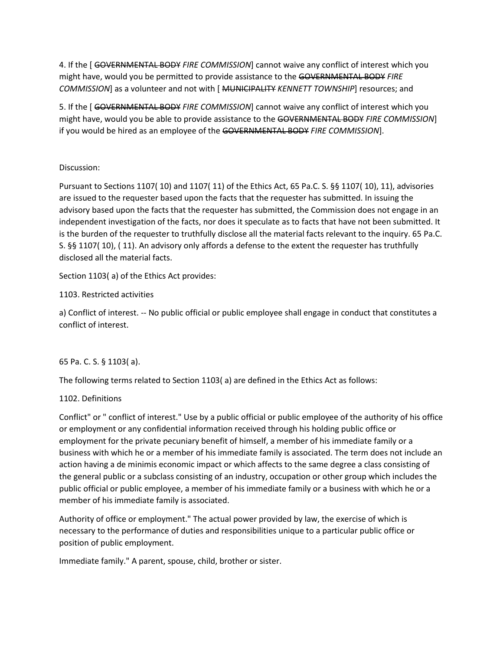4. If the [ GOVERNMENTAL BODY *FIRE COMMISSION*] cannot waive any conflict of interest which you might have, would you be permitted to provide assistance to the GOVERNMENTAL BODY *FIRE COMMISSION*] as a volunteer and not with [ MUNICIPALITY *KENNETT TOWNSHIP*] resources; and

5. If the [ GOVERNMENTAL BODY *FIRE COMMISSION*] cannot waive any conflict of interest which you might have, would you be able to provide assistance to the GOVERNMENTAL BODY *FIRE COMMISSION*] if you would be hired as an employee of the GOVERNMENTAL BODY *FIRE COMMISSION*].

## Discussion:

Pursuant to Sections 1107( 10) and 1107( 11) of the Ethics Act, 65 Pa.C. S. §§ 1107( 10), 11), advisories are issued to the requester based upon the facts that the requester has submitted. In issuing the advisory based upon the facts that the requester has submitted, the Commission does not engage in an independent investigation of the facts, nor does it speculate as to facts that have not been submitted. It is the burden of the requester to truthfully disclose all the material facts relevant to the inquiry. 65 Pa.C. S. §§ 1107( 10), ( 11). An advisory only affords a defense to the extent the requester has truthfully disclosed all the material facts.

Section 1103( a) of the Ethics Act provides:

1103. Restricted activities

a) Conflict of interest. -- No public official or public employee shall engage in conduct that constitutes a conflict of interest.

# 65 Pa. C. S. § 1103( a).

The following terms related to Section 1103( a) are defined in the Ethics Act as follows:

## 1102. Definitions

Conflict" or " conflict of interest." Use by a public official or public employee of the authority of his office or employment or any confidential information received through his holding public office or employment for the private pecuniary benefit of himself, a member of his immediate family or a business with which he or a member of his immediate family is associated. The term does not include an action having a de minimis economic impact or which affects to the same degree a class consisting of the general public or a subclass consisting of an industry, occupation or other group which includes the public official or public employee, a member of his immediate family or a business with which he or a member of his immediate family is associated.

Authority of office or employment." The actual power provided by law, the exercise of which is necessary to the performance of duties and responsibilities unique to a particular public office or position of public employment.

Immediate family." A parent, spouse, child, brother or sister.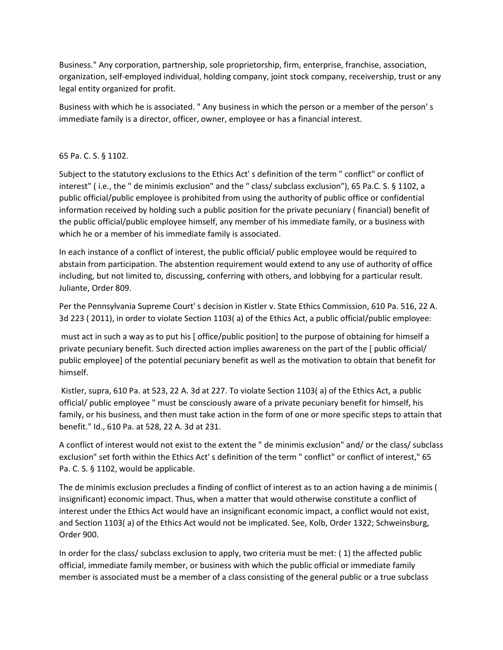Business." Any corporation, partnership, sole proprietorship, firm, enterprise, franchise, association, organization, self-employed individual, holding company, joint stock company, receivership, trust or any legal entity organized for profit.

Business with which he is associated. " Any business in which the person or a member of the person' s immediate family is a director, officer, owner, employee or has a financial interest.

### 65 Pa. C. S. § 1102.

Subject to the statutory exclusions to the Ethics Act' s definition of the term " conflict" or conflict of interest" ( i.e., the " de minimis exclusion" and the " class/ subclass exclusion"), 65 Pa.C. S. § 1102, a public official/public employee is prohibited from using the authority of public office or confidential information received by holding such a public position for the private pecuniary ( financial) benefit of the public official/public employee himself, any member of his immediate family, or a business with which he or a member of his immediate family is associated.

In each instance of a conflict of interest, the public official/ public employee would be required to abstain from participation. The abstention requirement would extend to any use of authority of office including, but not limited to, discussing, conferring with others, and lobbying for a particular result. Juliante, Order 809.

Per the Pennsylvania Supreme Court' s decision in Kistler v. State Ethics Commission, 610 Pa. 516, 22 A. 3d 223 ( 2011), in order to violate Section 1103( a) of the Ethics Act, a public official/public employee:

must act in such a way as to put his [ office/public position] to the purpose of obtaining for himself a private pecuniary benefit. Such directed action implies awareness on the part of the [ public official/ public employee] of the potential pecuniary benefit as well as the motivation to obtain that benefit for himself.

Kistler, supra, 610 Pa. at 523, 22 A. 3d at 227. To violate Section 1103( a) of the Ethics Act, a public official/ public employee " must be consciously aware of a private pecuniary benefit for himself, his family, or his business, and then must take action in the form of one or more specific steps to attain that benefit." Id., 610 Pa. at 528, 22 A. 3d at 231.

A conflict of interest would not exist to the extent the " de minimis exclusion" and/ or the class/ subclass exclusion" set forth within the Ethics Act' s definition of the term " conflict" or conflict of interest," 65 Pa. C. S. § 1102, would be applicable.

The de minimis exclusion precludes a finding of conflict of interest as to an action having a de minimis ( insignificant) economic impact. Thus, when a matter that would otherwise constitute a conflict of interest under the Ethics Act would have an insignificant economic impact, a conflict would not exist, and Section 1103( a) of the Ethics Act would not be implicated. See, Kolb, Order 1322; Schweinsburg, Order 900.

In order for the class/ subclass exclusion to apply, two criteria must be met: ( 1) the affected public official, immediate family member, or business with which the public official or immediate family member is associated must be a member of a class consisting of the general public or a true subclass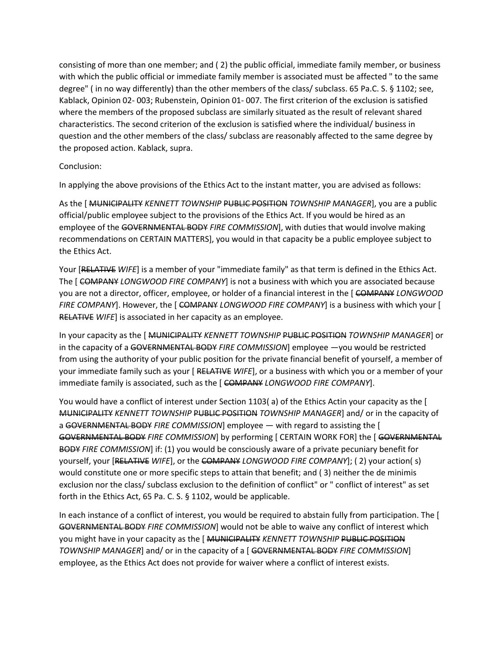consisting of more than one member; and ( 2) the public official, immediate family member, or business with which the public official or immediate family member is associated must be affected " to the same degree" ( in no way differently) than the other members of the class/ subclass. 65 Pa.C. S. § 1102; see, Kablack, Opinion 02- 003; Rubenstein, Opinion 01- 007. The first criterion of the exclusion is satisfied where the members of the proposed subclass are similarly situated as the result of relevant shared characteristics. The second criterion of the exclusion is satisfied where the individual/ business in question and the other members of the class/ subclass are reasonably affected to the same degree by the proposed action. Kablack, supra.

Conclusion:

In applying the above provisions of the Ethics Act to the instant matter, you are advised as follows:

As the [ MUNICIPALITY *KENNETT TOWNSHIP* PUBLIC POSITION *TOWNSHIP MANAGER*], you are a public official/public employee subject to the provisions of the Ethics Act. If you would be hired as an employee of the GOVERNMENTAL BODY *FIRE COMMISSION*], with duties that would involve making recommendations on CERTAIN MATTERS], you would in that capacity be a public employee subject to the Ethics Act.

Your [RELATIVE *WIFE*] is a member of your "immediate family" as that term is defined in the Ethics Act. The [ COMPANY *LONGWOOD FIRE COMPANY*] is not a business with which you are associated because you are not a director, officer, employee, or holder of a financial interest in the [ COMPANY *LONGWOOD FIRE COMPANY*]. However, the [ COMPANY *LONGWOOD FIRE COMPANY*] is a business with which your [ RELATIVE *WIFE*] is associated in her capacity as an employee.

In your capacity as the [ MUNICIPALITY *KENNETT TOWNSHIP* PUBLIC POSITION *TOWNSHIP MANAGER*] or in the capacity of a GOVERNMENTAL BODY *FIRE COMMISSION*] employee —you would be restricted from using the authority of your public position for the private financial benefit of yourself, a member of your immediate family such as your [ RELATIVE *WIFE*], or a business with which you or a member of your immediate family is associated, such as the [ COMPANY *LONGWOOD FIRE COMPANY*].

You would have a conflict of interest under Section 1103( a) of the Ethics Actin your capacity as the [ MUNICIPALITY *KENNETT TOWNSHIP* PUBLIC POSITION *TOWNSHIP MANAGER*] and/ or in the capacity of a GOVERNMENTAL BODY *FIRE COMMISSION*] employee — with regard to assisting the [ GOVERNMENTAL BODY *FIRE COMMISSION*] by performing [ CERTAIN WORK FOR] the [ GOVERNMENTAL BODY *FIRE COMMISSION*] if: (1) you would be consciously aware of a private pecuniary benefit for yourself, your [RELATIVE *WIFE*], or the COMPANY *LONGWOOD FIRE COMPANY*]; ( 2) your action( s) would constitute one or more specific steps to attain that benefit; and ( 3) neither the de minimis exclusion nor the class/ subclass exclusion to the definition of conflict" or " conflict of interest" as set forth in the Ethics Act, 65 Pa. C. S. § 1102, would be applicable.

In each instance of a conflict of interest, you would be required to abstain fully from participation. The [ GOVERNMENTAL BODY *FIRE COMMISSION*] would not be able to waive any conflict of interest which you might have in your capacity as the [ MUNICIPALITY *KENNETT TOWNSHIP* PUBLIC POSITION *TOWNSHIP MANAGER*] and/ or in the capacity of a [ GOVERNMENTAL BODY *FIRE COMMISSION*] employee, as the Ethics Act does not provide for waiver where a conflict of interest exists.